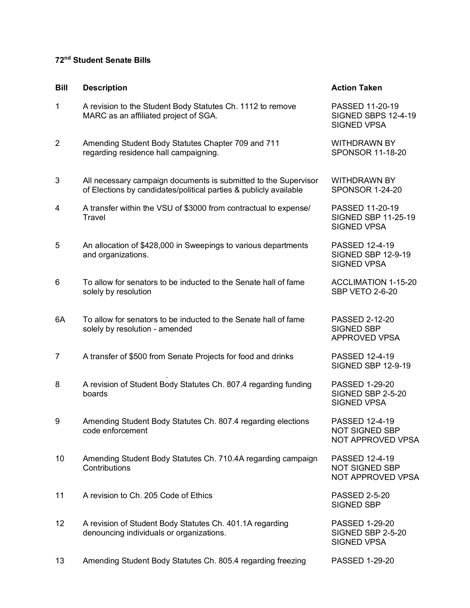## **72nd Student Senate Bills**

## **Bill Description Action Taken** 1 A revision to the Student Body Statutes Ch. 1112 to remove PASSED 11-20-19 MARC as an affiliated project of SGA. SIGNED SBPS 12-4-19 SIGNED VPSA 2 Amending Student Body Statutes Chapter 709 and 711 WITHDRAWN BY regarding residence hall campaigning. The state of the SPONSOR 11-18-20 3 All necessary campaign documents is submitted to the Supervisor MITHDRAWN BY<br>3 of Elections by candidates/political parties & publicly available SPONSOR 1-24-20 of Elections by candidates/political parties & publicly available 4 A transfer within the VSU of \$3000 from contractual to expense/ PASSED 11-20-19 Travel SIGNED SBP 11-25-19 SIGNED VPSA 5 An allocation of \$428,000 in Sweepings to various departments PASSED 12-4-19 and organizations. The state of the state of the state of the SIGNED SBP 12-9-19 SIGNED VPSA 6 To allow for senators to be inducted to the Senate hall of fame ACCLIMATION 1-15-20 solely by resolution  $SBP$  VETO 2-6-20 6A To allow for senators to be inducted to the Senate hall of fame PASSED 2-12-20 solely by resolution - amended SIGNED SBP APPROVED VPSA 7 A transfer of \$500 from Senate Projects for food and drinks PASSED 12-4-19 SIGNED SBP 12-9-19 . 8 A revision of Student Body Statutes Ch. 807.4 regarding funding PASSED 1-29-20 boards **SIGNED SBP 2-5-20** SIGNED VPSA 9 Amending Student Body Statutes Ch. 807.4 regarding elections PASSED 12-4-19<br>Code enforcement **PASSED SE** NOT SIGNED SBP NOT APPROVED VPSA 10 Amending Student Body Statutes Ch. 710.4A regarding campaign PASSED 12-4-19 Contributions **NOT SIGNED SBP** NOT APPROVED VPSA 11 A revision to Ch. 205 Code of Ethics **PASSED 2-5-20** SIGNED SBP 12 A revision of Student Body Statutes Ch. 401.1A regarding PASSED 1-29-20 denouncing individuals or organizations. The state of the SIGNED SBP 2-5-20 SIGNED VPSA 13 Amending Student Body Statutes Ch. 805.4 regarding freezing PASSED 1-29-20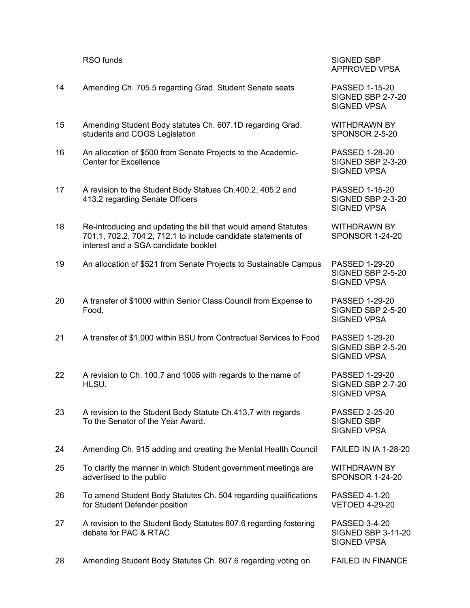|    | RSO funds                                                                                                                                                               | <b>SIGNED SBP</b><br>APPROVED VPSA                               |
|----|-------------------------------------------------------------------------------------------------------------------------------------------------------------------------|------------------------------------------------------------------|
| 14 | Amending Ch. 705.5 regarding Grad. Student Senate seats                                                                                                                 | PASSED 1-15-20<br>SIGNED SBP 2-7-20<br><b>SIGNED VPSA</b>        |
| 15 | Amending Student Body statutes Ch. 607.1D regarding Grad.<br>students and COGS Legislation                                                                              | <b>WITHDRAWN BY</b><br><b>SPONSOR 2-5-20</b>                     |
| 16 | An allocation of \$500 from Senate Projects to the Academic-<br><b>Center for Excellence</b>                                                                            | PASSED 1-28-20<br>SIGNED SBP 2-3-20<br><b>SIGNED VPSA</b>        |
| 17 | A revision to the Student Body Statues Ch.400.2, 405.2 and<br>413.2 regarding Senate Officers                                                                           | PASSED 1-15-20<br>SIGNED SBP 2-3-20<br><b>SIGNED VPSA</b>        |
| 18 | Re-introducing and updating the bill that would amend Statutes<br>701.1, 702.2, 704.2, 712.1 to include candidate statements of<br>interest and a SGA candidate booklet | <b>WITHDRAWN BY</b><br><b>SPONSOR 1-24-20</b>                    |
| 19 | An allocation of \$521 from Senate Projects to Sustainable Campus                                                                                                       | <b>PASSED 1-29-20</b><br>SIGNED SBP 2-5-20<br><b>SIGNED VPSA</b> |
| 20 | A transfer of \$1000 within Senior Class Council from Expense to<br>Food.                                                                                               | PASSED 1-29-20<br>SIGNED SBP 2-5-20<br><b>SIGNED VPSA</b>        |
| 21 | A transfer of \$1,000 within BSU from Contractual Services to Food                                                                                                      | PASSED 1-29-20<br><b>SIGNED SBP 2-5-20</b><br><b>SIGNED VPSA</b> |
| 22 | A revision to Ch. 100.7 and 1005 with regards to the name of<br>HLSU.                                                                                                   | <b>PASSED 1-29-20</b><br>SIGNED SBP 2-7-20<br><b>SIGNED VPSA</b> |
| 23 | A revision to the Student Body Statute Ch.413.7 with regards<br>To the Senator of the Year Award.                                                                       | PASSED 2-25-20<br><b>SIGNED SBP</b><br><b>SIGNED VPSA</b>        |
| 24 | Amending Ch. 915 adding and creating the Mental Health Council                                                                                                          | <b>FAILED IN IA 1-28-20</b>                                      |
| 25 | To clarify the manner in which Student government meetings are<br>advertised to the public                                                                              | <b>WITHDRAWN BY</b><br><b>SPONSOR 1-24-20</b>                    |
| 26 | To amend Student Body Statutes Ch. 504 regarding qualifications<br>for Student Defender position                                                                        | PASSED 4-1-20<br><b>VETOED 4-29-20</b>                           |
| 27 | A revision to the Student Body Statutes 807.6 regarding fostering<br>debate for PAC & RTAC.                                                                             | PASSED 3-4-20<br><b>SIGNED SBP 3-11-20</b><br><b>SIGNED VPSA</b> |
| 28 | Amending Student Body Statutes Ch. 807.6 regarding voting on                                                                                                            | <b>FAILED IN FINANCE</b>                                         |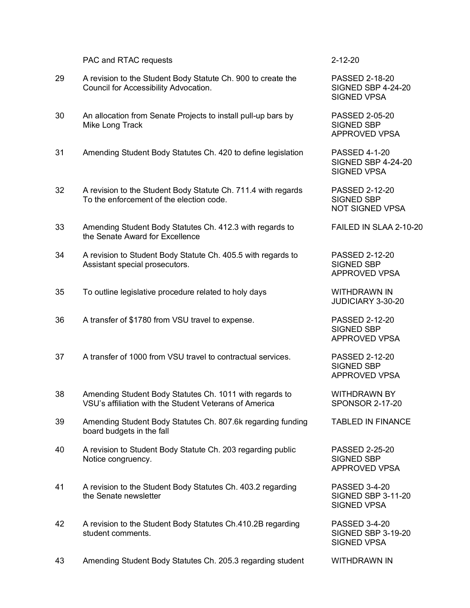## PAC and RTAC requests 2-12-20

- 29 A revision to the Student Body Statute Ch. 900 to create the PASSED 2-18-20 Council for Accessibility Advocation. The SIGNED SBP 4-24-20
- 30 An allocation from Senate Projects to install pull-up bars by PASSED 2-05-20 Mike Long Track SIGNED SBP
- 31 Amending Student Body Statutes Ch. 420 to define legislation PASSED 4-1-20
- 32 A revision to the Student Body Statute Ch. 711.4 with regards PASSED 2-12-20<br>To the enforcement of the election code. SIGNED SBP To the enforcement of the election code.
- 33 Amending Student Body Statutes Ch. 412.3 with regards to FAILED IN SLAA 2-10-20 the Senate Award for Excellence
- 34 A revision to Student Body Statute Ch. 405.5 with regards to PASSED 2-12-20 Assistant special prosecutors. The state of the SIGNED SBP
- 35 To outline legislative procedure related to holy days WITHDRAWN IN
- 36 A transfer of \$1780 from VSU travel to expense. PASSED 2-12-20
- 37 A transfer of 1000 from VSU travel to contractual services. PASSED 2-12-20
- 38 Amending Student Body Statutes Ch. 1011 with regards to WITHDRAWN BY VSU's affiliation with the Student Veterans of America SPONSOR 2-17-20
- 39 Amending Student Body Statutes Ch. 807.6k regarding funding TABLED IN FINANCE board budgets in the fall
- 40 A revision to Student Body Statute Ch. 203 regarding public PASSED 2-25-20 Notice congruency. The state of the state of the SIGNED SBP SIGNED SBP
- 41 A revision to the Student Body Statutes Ch. 403.2 regarding PASSED 3-4-20 the Senate newsletter  $\sim$  SIGNED SBP 3-11-20
- 42 A revision to the Student Body Statutes Ch.410.2B regarding PASSED 3-4-20 student comments. The student comments of the student student student student student students of the student s

SIGNED VPSA

APPROVED VPSA

SIGNED SBP 4-24-20 SIGNED VPSA

NOT SIGNED VPSA

APPROVED VPSA

JUDICIARY 3-30-20

SIGNED SBP APPROVED VPSA

SIGNED SBP APPROVED VPSA

APPROVED VPSA

SIGNED VPSA

SIGNED VPSA

43 Amending Student Body Statutes Ch. 205.3 regarding student WITHDRAWN IN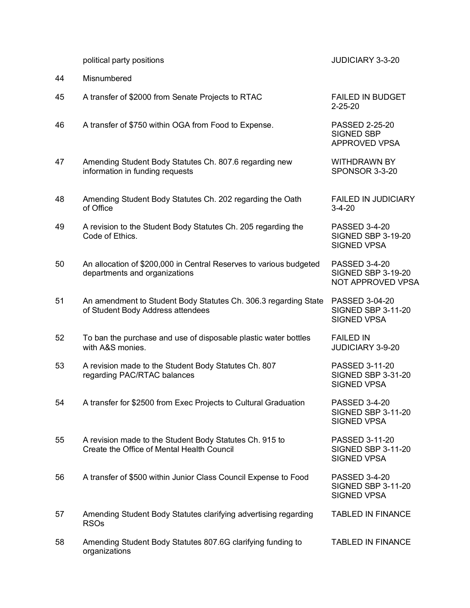political party positions JUDICIARY 3-3-20

44 Misnumbered 45 A transfer of \$2000 from Senate Projects to RTAC FAILED IN BUDGET 2-25-20 46 A transfer of \$750 within OGA from Food to Expense. PASSED 2-25-20 SIGNED SBP APPROVED VPSA 47 Amending Student Body Statutes Ch. 807.6 regarding new WITHDRAWN BY information in funding requests SPONSOR 3-3-20 48 Amending Student Body Statutes Ch. 202 regarding the Oath FAILED IN JUDICIARY of Office 3-4-20 49 A revision to the Student Body Statutes Ch. 205 regarding the PASSED 3-4-20 **Code of Ethics.** SIGNED SBP 3-19-20 SIGNED VPSA 50 An allocation of \$200,000 in Central Reserves to various budgeted PASSED 3-4-20 departments and organizations SIGNED SBP 3-19-20 NOT APPROVED VPSA 51 An amendment to Student Body Statutes Ch. 306.3 regarding State PASSED 3-04-20 of Student Body Address attendees SIGNED SBP 3-11-20 SIGNED VPSA 52 To ban the purchase and use of disposable plastic water bottles FAILED IN with A&S monies. **All any structures** and the structure of the structure of the JUDICIARY 3-9-20 53 A revision made to the Student Body Statutes Ch. 807 PASSED 3-11-20 regarding PAC/RTAC balances SIGNED SBP 3-31-20 SIGNED VPSA 54 A transfer for \$2500 from Exec Projects to Cultural Graduation PASSED 3-4-20 SIGNED SBP 3-11-20 SIGNED VPSA 55 A revision made to the Student Body Statutes Ch. 915 to PASSED 3-11-20 Create the Office of Mental Health Council SIGNED SBP 3-11-20 SIGNED VPSA 56 A transfer of \$500 within Junior Class Council Expense to Food PASSED 3-4-20 SIGNED SBP 3-11-20 SIGNED VPSA 57 Amending Student Body Statutes clarifying advertising regarding TABLED IN FINANCE RSOs 58 Amending Student Body Statutes 807.6G clarifying funding to TABLED IN FINANCE organizations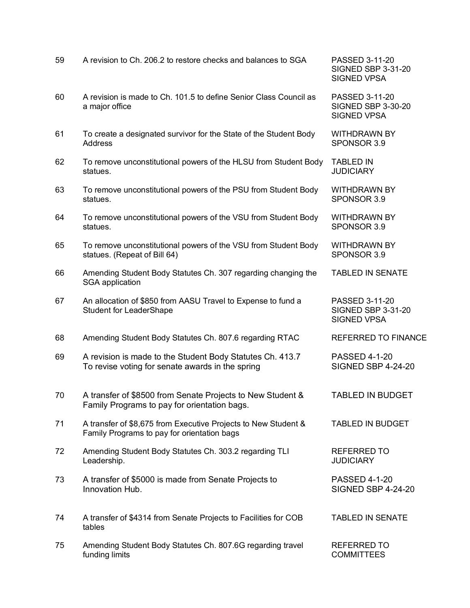| 59 | A revision to Ch. 206.2 to restore checks and balances to SGA                                                 | PASSED 3-11-20<br><b>SIGNED SBP 3-31-20</b><br><b>SIGNED VPSA</b> |
|----|---------------------------------------------------------------------------------------------------------------|-------------------------------------------------------------------|
| 60 | A revision is made to Ch. 101.5 to define Senior Class Council as<br>a major office                           | PASSED 3-11-20<br><b>SIGNED SBP 3-30-20</b><br><b>SIGNED VPSA</b> |
| 61 | To create a designated survivor for the State of the Student Body<br><b>Address</b>                           | <b>WITHDRAWN BY</b><br>SPONSOR 3.9                                |
| 62 | To remove unconstitutional powers of the HLSU from Student Body<br>statues.                                   | <b>TABLED IN</b><br><b>JUDICIARY</b>                              |
| 63 | To remove unconstitutional powers of the PSU from Student Body<br>statues.                                    | <b>WITHDRAWN BY</b><br>SPONSOR 3.9                                |
| 64 | To remove unconstitutional powers of the VSU from Student Body<br>statues.                                    | <b>WITHDRAWN BY</b><br>SPONSOR 3.9                                |
| 65 | To remove unconstitutional powers of the VSU from Student Body<br>statues. (Repeat of Bill 64)                | <b>WITHDRAWN BY</b><br>SPONSOR 3.9                                |
| 66 | Amending Student Body Statutes Ch. 307 regarding changing the<br>SGA application                              | <b>TABLED IN SENATE</b>                                           |
| 67 | An allocation of \$850 from AASU Travel to Expense to fund a<br><b>Student for LeaderShape</b>                | PASSED 3-11-20<br><b>SIGNED SBP 3-31-20</b><br><b>SIGNED VPSA</b> |
| 68 | Amending Student Body Statutes Ch. 807.6 regarding RTAC                                                       | <b>REFERRED TO FINANCE</b>                                        |
| 69 | A revision is made to the Student Body Statutes Ch. 413.7<br>To revise voting for senate awards in the spring | <b>PASSED 4-1-20</b><br><b>SIGNED SBP 4-24-20</b>                 |
| 70 | A transfer of \$8500 from Senate Projects to New Student &<br>Family Programs to pay for orientation bags.    | <b>TABLED IN BUDGET</b>                                           |
| 71 | A transfer of \$8,675 from Executive Projects to New Student &<br>Family Programs to pay for orientation bags | <b>TABLED IN BUDGET</b>                                           |
| 72 | Amending Student Body Statutes Ch. 303.2 regarding TLI<br>Leadership.                                         | <b>REFERRED TO</b><br><b>JUDICIARY</b>                            |
| 73 | A transfer of \$5000 is made from Senate Projects to<br>Innovation Hub.                                       | <b>PASSED 4-1-20</b><br><b>SIGNED SBP 4-24-20</b>                 |
| 74 | A transfer of \$4314 from Senate Projects to Facilities for COB<br>tables                                     | <b>TABLED IN SENATE</b>                                           |
| 75 | Amending Student Body Statutes Ch. 807.6G regarding travel<br>funding limits                                  | <b>REFERRED TO</b><br><b>COMMITTEES</b>                           |